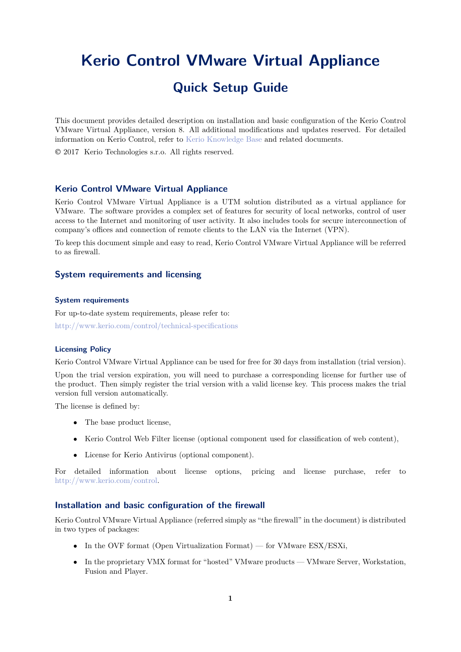# <span id="page-0-0"></span>**Kerio Control VMware Virtual Appliance Quick Setup Guide**

This document provides detailed description on installation and basic configuration of the Kerio Control VMware Virtual Appliance, version 8. All additional modifications and updates reserved. For detailed information on Kerio Control, refer to [Kerio Knowledge Base](http://kb.kerio.com/category/kerio-control/pdf-documentation-kerio-control/) and related documents.

2017 Kerio Technologies s.r.o. All rights reserved.

## **Kerio Control VMware Virtual Appliance**

Kerio Control VMware Virtual Appliance is a UTM solution distributed as a virtual appliance for VMware. The software provides a complex set of features for security of local networks, control of user access to the Internet and monitoring of user activity. It also includes tools for secure interconnection of company's offices and connection of remote clients to the LAN via the Internet (VPN).

To keep this document simple and easy to read, Kerio Control VMware Virtual Appliance will be referred to as firewall.

## **System requirements and licensing**

## **System requirements**

For up-to-date system requirements, please refer to: <http://www.kerio.com/control/technical-specifications>

#### **Licensing Policy**

Kerio Control VMware Virtual Appliance can be used for free for 30 days from installation (trial version).

Upon the trial version expiration, you will need to purchase a corresponding license for further use of the product. Then simply register the trial version with a valid license key. This process makes the trial version full version automatically.

The license is defined by:

- The base product license,
- Kerio Control Web Filter license (optional component used for classification of web content),
- License for Kerio Antivirus (optional component).

For detailed information about license options, pricing and license purchase, refer to <http://www.kerio.com/control>.

## **Installation and basic configuration of the firewall**

Kerio Control VMware Virtual Appliance (referred simply as "the firewall" in the document) is distributed in two types of packages:

- In the OVF format (Open Virtualization Format) for VMware ESX/ESXi,
- In the proprietary VMX format for "hosted" VMware products VMware Server, Workstation, Fusion and Player.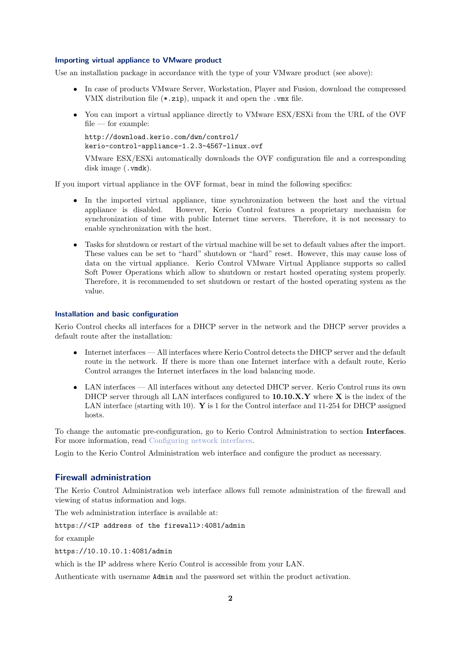#### **Importing virtual appliance to VMware product**

Use an installation package in accordance with the type of your VMware product (see above):

- In case of products VMware Server, Workstation, Player and Fusion, download the compressed VMX distribution file (\*.zip), unpack it and open the .vmx file.
- You can import a virtual appliance directly to VMware ESX/ESXi from the URL of the OVF file — for example:

```
http://download.kerio.com/dwn/control/
kerio-control-appliance-1.2.3-4567-linux.ovf
```
VMware ESX/ESXi automatically downloads the OVF configuration file and a corresponding disk image (.vmdk).

If you import virtual appliance in the OVF format, bear in mind the following specifics:

- In the imported virtual appliance, time synchronization between the host and the virtual appliance is disabled. However, Kerio Control features a proprietary mechanism for synchronization of time with public Internet time servers. Therefore, it is not necessary to enable synchronization with the host.
- Tasks for shutdown or restart of the virtual machine will be set to default values after the import. These values can be set to "hard" shutdown or "hard" reset. However, this may cause loss of data on the virtual appliance. Kerio Control VMware Virtual Appliance supports so called Soft Power Operations which allow to shutdown or restart hosted operating system properly. Therefore, it is recommended to set shutdown or restart of the hosted operating system as the value.

#### **Installation and basic configuration**

Kerio Control checks all interfaces for a DHCP server in the network and the DHCP server provides a default route after the installation:

- Internet interfaces All interfaces where Kerio Control detects the DHCP server and the default route in the network. If there is more than one Internet interface with a default route, Kerio Control arranges the Internet interfaces in the load balancing mode.
- LAN interfaces All interfaces without any detected DHCP server. Kerio Control runs its own DHCP server through all LAN interfaces configured to **10.10.X.Y** where **X** is the index of the LAN interface (starting with 10). **Y** is 1 for the Control interface and 11-254 for DHCP assigned hosts.

To change the automatic pre-configuration, go to Kerio Control Administration to section **Interfaces**. For more information, read [Configuring network interfaces.](http://kb.kerio.com/1333)

Login to the Kerio Control Administration web interface and configure the product as necessary.

## **Firewall administration**

The Kerio Control Administration web interface allows full remote administration of the firewall and viewing of status information and logs.

The web administration interface is available at:

### https://<IP address of the firewall>:4081/admin

for example

https://10.10.10.1:4081/admin

which is the IP address where Kerio Control is accessible from your LAN.

Authenticate with username Admin and the password set within the product activation.